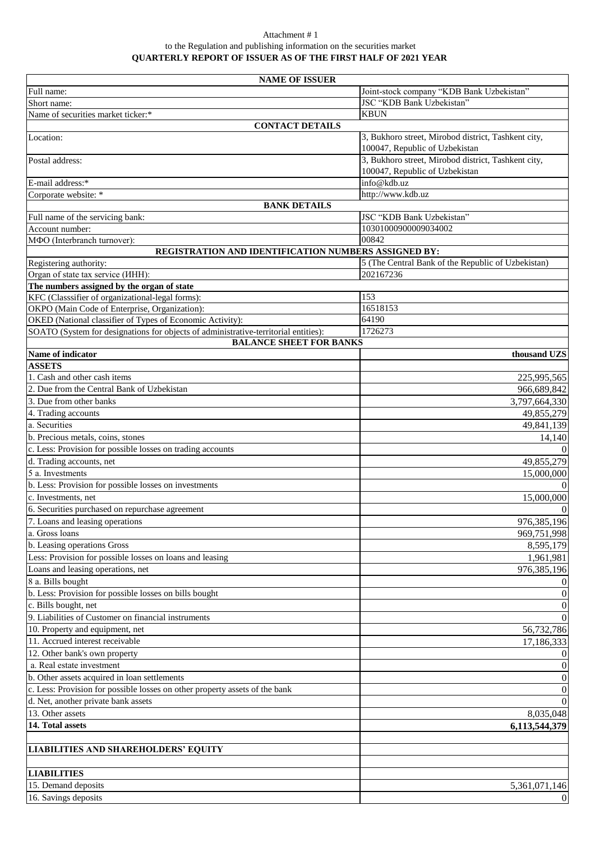## Attachment # 1 to the Regulation and publishing information on the securities market **QUARTERLY REPORT OF ISSUER AS OF THE FIRST HALF OF 2021 YEAR**

| <b>NAME OF ISSUER</b>                                                                             |                                                     |  |  |
|---------------------------------------------------------------------------------------------------|-----------------------------------------------------|--|--|
| Full name:                                                                                        | Joint-stock company "KDB Bank Uzbekistan"           |  |  |
| Short name:                                                                                       | JSC "KDB Bank Uzbekistan"                           |  |  |
| Name of securities market ticker:*                                                                | <b>KBUN</b>                                         |  |  |
| <b>CONTACT DETAILS</b>                                                                            |                                                     |  |  |
| Location:                                                                                         | 3, Bukhoro street, Mirobod district, Tashkent city, |  |  |
|                                                                                                   | 100047, Republic of Uzbekistan                      |  |  |
| Postal address:                                                                                   | 3, Bukhoro street, Mirobod district, Tashkent city, |  |  |
|                                                                                                   | 100047, Republic of Uzbekistan                      |  |  |
| E-mail address:*                                                                                  | info@kdb.uz                                         |  |  |
| Corporate website: *                                                                              | http://www.kdb.uz                                   |  |  |
| <b>BANK DETAILS</b>                                                                               |                                                     |  |  |
| Full name of the servicing bank:                                                                  | JSC "KDB Bank Uzbekistan"                           |  |  |
| Account number:                                                                                   | 10301000900009034002                                |  |  |
| МФО (Interbranch turnover):                                                                       | 00842                                               |  |  |
| REGISTRATION AND IDENTIFICATION NUMBERS ASSIGNED BY:                                              |                                                     |  |  |
| Registering authority:                                                                            | 5 (The Central Bank of the Republic of Uzbekistan)  |  |  |
| Organ of state tax service (IHH):                                                                 | 202167236                                           |  |  |
| The numbers assigned by the organ of state                                                        | 153                                                 |  |  |
| KFC (Classsifier of organizational-legal forms):<br>OKPO (Main Code of Enterprise, Organization): | 16518153                                            |  |  |
| OKED (National classifier of Types of Economic Activity):                                         | 64190                                               |  |  |
| SOATO (System for designations for objects of administrative-territorial entities):               | 1726273                                             |  |  |
| <b>BALANCE SHEET FOR BANKS</b>                                                                    |                                                     |  |  |
| Name of indicator                                                                                 | thousand UZS                                        |  |  |
| <b>ASSETS</b>                                                                                     |                                                     |  |  |
| 1. Cash and other cash items                                                                      | 225,995,565                                         |  |  |
| 2. Due from the Central Bank of Uzbekistan                                                        |                                                     |  |  |
| 3. Due from other banks                                                                           | 966,689,842                                         |  |  |
| 4. Trading accounts                                                                               | 3,797,664,330                                       |  |  |
| a. Securities                                                                                     | 49,855,279                                          |  |  |
|                                                                                                   | 49,841,139                                          |  |  |
| b. Precious metals, coins, stones                                                                 | 14,140                                              |  |  |
| c. Less: Provision for possible losses on trading accounts                                        |                                                     |  |  |
| d. Trading accounts, net                                                                          | 49,855,279                                          |  |  |
| 5 a. Investments                                                                                  | 15,000,000                                          |  |  |
| b. Less: Provision for possible losses on investments                                             |                                                     |  |  |
| c. Investments, net                                                                               | 15,000,000                                          |  |  |
| 6. Securities purchased on repurchase agreement                                                   |                                                     |  |  |
| 7. Loans and leasing operations                                                                   | 976,385,196                                         |  |  |
| a. Gross loans                                                                                    | 969,751,998                                         |  |  |
| b. Leasing operations Gross                                                                       | 8,595,179                                           |  |  |
| Less: Provision for possible losses on loans and leasing                                          | 1,961,981                                           |  |  |
| Loans and leasing operations, net                                                                 | 976, 385, 196                                       |  |  |
| 8 a. Bills bought                                                                                 |                                                     |  |  |
| b. Less: Provision for possible losses on bills bought                                            | $\overline{0}$                                      |  |  |
| c. Bills bought, net                                                                              | $\Omega$                                            |  |  |
| 9. Liabilities of Customer on financial instruments                                               |                                                     |  |  |
| 10. Property and equipment, net                                                                   | 56,732,786                                          |  |  |
| 11. Accrued interest receivable                                                                   | 17,186,333                                          |  |  |
| 12. Other bank's own property                                                                     | $\theta$                                            |  |  |
| a. Real estate investment                                                                         | $\overline{0}$                                      |  |  |
| b. Other assets acquired in loan settlements                                                      | $\overline{0}$                                      |  |  |
| c. Less: Provision for possible losses on other property assets of the bank                       | $\Omega$                                            |  |  |
| d. Net, another private bank assets                                                               |                                                     |  |  |
| 13. Other assets                                                                                  | 8,035,048                                           |  |  |
| 14. Total assets<br>6,113,544,379                                                                 |                                                     |  |  |
|                                                                                                   |                                                     |  |  |
| <b>LIABILITIES AND SHAREHOLDERS' EQUITY</b>                                                       |                                                     |  |  |
|                                                                                                   |                                                     |  |  |
| <b>LIABILITIES</b>                                                                                |                                                     |  |  |
| 15. Demand deposits                                                                               | 5,361,071,146                                       |  |  |
| 16. Savings deposits                                                                              |                                                     |  |  |
|                                                                                                   |                                                     |  |  |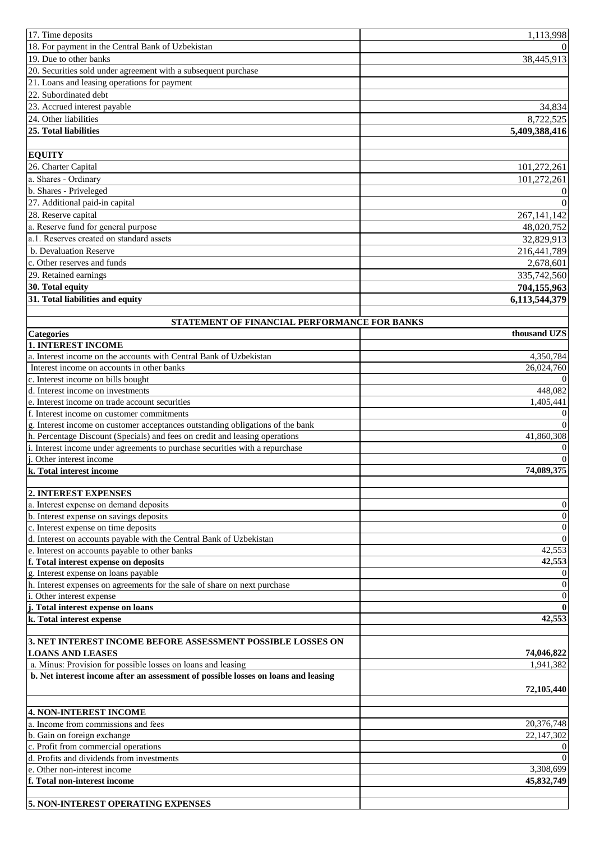| 17. Time deposits                                                                  | 1,113,998        |
|------------------------------------------------------------------------------------|------------------|
| 18. For payment in the Central Bank of Uzbekistan                                  | $\Omega$         |
| $19.$ Due to other banks                                                           | 38,445,913       |
| 20. Securities sold under agreement with a subsequent purchase                     |                  |
| 21. Loans and leasing operations for payment                                       |                  |
| 22. Subordinated debt                                                              |                  |
| 23. Accrued interest payable                                                       | 34,834           |
| 24. Other liabilities                                                              | 8,722,525        |
| 25. Total liabilities                                                              | 5,409,388,416    |
|                                                                                    |                  |
| <b>EQUITY</b>                                                                      |                  |
| 26. Charter Capital                                                                | 101,272,261      |
| a. Shares - Ordinary                                                               | 101,272,261      |
| b. Shares - Priveleged                                                             | $\mathbf{0}$     |
| 27. Additional paid-in capital                                                     | $\overline{0}$   |
| 28. Reserve capital                                                                | 267, 141, 142    |
| a. Reserve fund for general purpose                                                | 48,020,752       |
| a.1. Reserves created on standard assets                                           | 32,829,913       |
| b. Devaluation Reserve                                                             | 216,441,789      |
| c. Other reserves and funds                                                        | 2,678,601        |
| 29. Retained earnings                                                              | 335,742,560      |
| 30. Total equity                                                                   | 704,155,963      |
| 31. Total liabilities and equity                                                   | 6,113,544,379    |
|                                                                                    |                  |
| STATEMENT OF FINANCIAL PERFORMANCE FOR BANKS<br><b>Categories</b>                  | thousand UZS     |
| <b>1. INTEREST INCOME</b>                                                          |                  |
| a. Interest income on the accounts with Central Bank of Uzbekistan                 | 4,350,784        |
| Interest income on accounts in other banks                                         | 26,024,760       |
| c. Interest income on bills bought                                                 | $\theta$         |
| d. Interest income on investments                                                  | 448,082          |
| e. Interest income on trade account securities                                     | 1,405,441        |
| f. Interest income on customer commitments                                         | $\boldsymbol{0}$ |
| g. Interest income on customer acceptances outstanding obligations of the bank     | $\mathbf{0}$     |
| h. Percentage Discount (Specials) and fees on credit and leasing operations        | 41,860,308       |
| i. Interest income under agreements to purchase securities with a repurchase       | $\boldsymbol{0}$ |
| Other interest income                                                              | $\overline{0}$   |
| k. Total interest income                                                           | 74,089,375       |
| 2. INTEREST EXPENSES                                                               |                  |
| a. Interest expense on demand deposits                                             | $\mathbf{0}$     |
| b. Interest expense on savings deposits                                            | $\boldsymbol{0}$ |
| c. Interest expense on time deposits                                               | $\boldsymbol{0}$ |
| d. Interest on accounts payable with the Central Bank of Uzbekistan                | $\boldsymbol{0}$ |
| e. Interest on accounts payable to other banks                                     | 42,553           |
| f. Total interest expense on deposits                                              | 42,553           |
| g. Interest expense on loans payable                                               | $\boldsymbol{0}$ |
| h. Interest expenses on agreements for the sale of share on next purchase          | $\boldsymbol{0}$ |
| i. Other interest expense                                                          | $\boldsymbol{0}$ |
| j. Total interest expense on loans                                                 | $\bf{0}$         |
| k. Total interest expense                                                          | 42,553           |
| 3. NET INTEREST INCOME BEFORE ASSESSMENT POSSIBLE LOSSES ON                        |                  |
| <b>LOANS AND LEASES</b>                                                            | 74,046,822       |
| a. Minus: Provision for possible losses on loans and leasing                       | 1,941,382        |
| b. Net interest income after an assessment of possible losses on loans and leasing |                  |
|                                                                                    | 72,105,440       |
|                                                                                    |                  |
| <b>4. NON-INTEREST INCOME</b>                                                      |                  |
| a. Income from commissions and fees                                                | 20,376,748       |
| b. Gain on foreign exchange                                                        | 22,147,302       |
| c. Profit from commercial operations                                               | $\boldsymbol{0}$ |
| d. Profits and dividends from investments                                          | $\overline{0}$   |
| e. Other non-interest income                                                       | 3,308,699        |
| f. Total non-interest income                                                       | 45,832,749       |
| 5. NON-INTEREST OPERATING EXPENSES                                                 |                  |
|                                                                                    |                  |